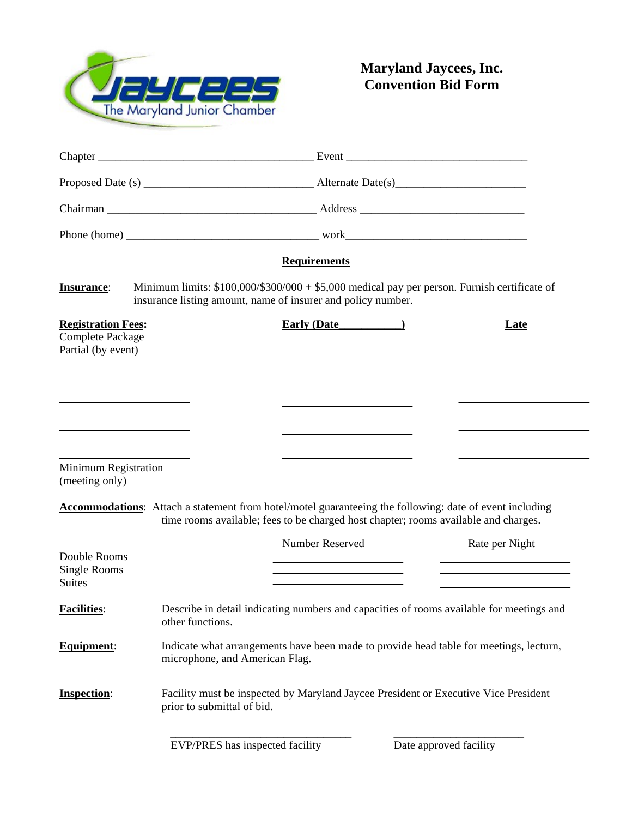

|                                                                     |                                                                                                                                                             | <b>Requirements</b>                                                                                                                                                                                   |                |
|---------------------------------------------------------------------|-------------------------------------------------------------------------------------------------------------------------------------------------------------|-------------------------------------------------------------------------------------------------------------------------------------------------------------------------------------------------------|----------------|
| <b>Insurance:</b>                                                   | Minimum limits: $$100,000/$300/000 + $5,000$ medical pay per person. Furnish certificate of<br>insurance listing amount, name of insurer and policy number. |                                                                                                                                                                                                       |                |
| <b>Registration Fees:</b><br>Complete Package<br>Partial (by event) |                                                                                                                                                             | Early (Date 1997)                                                                                                                                                                                     | Late           |
|                                                                     |                                                                                                                                                             |                                                                                                                                                                                                       |                |
| Minimum Registration<br>(meeting only)                              |                                                                                                                                                             |                                                                                                                                                                                                       |                |
|                                                                     |                                                                                                                                                             | <b>Accommodations:</b> Attach a statement from hotel/motel guaranteeing the following: date of event including<br>time rooms available; fees to be charged host chapter; rooms available and charges. |                |
| Double Rooms<br><b>Single Rooms</b><br><b>Suites</b>                |                                                                                                                                                             | Number Reserved                                                                                                                                                                                       | Rate per Night |
| <b>Facilities:</b>                                                  | other functions.                                                                                                                                            | Describe in detail indicating numbers and capacities of rooms available for meetings and                                                                                                              |                |
| Equipment:                                                          |                                                                                                                                                             | Indicate what arrangements have been made to provide head table for meetings, lecturn,<br>microphone, and American Flag.                                                                              |                |
| <b>Inspection:</b>                                                  |                                                                                                                                                             | Facility must be inspected by Maryland Jaycee President or Executive Vice President<br>prior to submittal of bid.                                                                                     |                |
|                                                                     |                                                                                                                                                             |                                                                                                                                                                                                       |                |

EVP/PRES has inspected facility Date approved facility